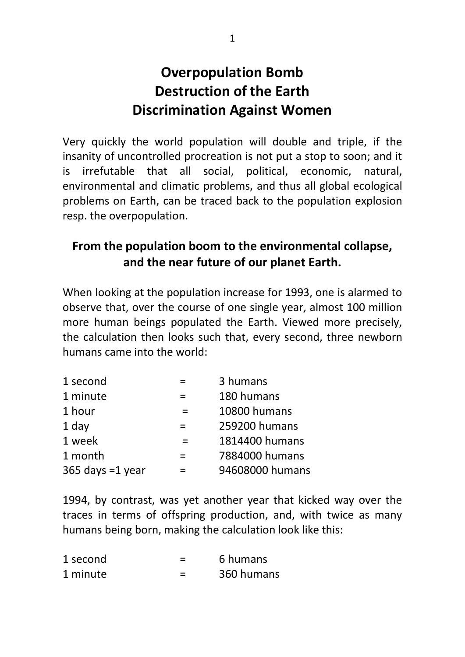## **Overpopulation Bomb Destruction of the Earth Discrimination Against Women**

Very quickly the world population will double and triple, if the insanity of uncontrolled procreation is not put a stop to soon; and it is irrefutable that all social, political, economic, natural, environmental and climatic problems, and thus all global ecological problems on Earth, can be traced back to the population explosion resp. the overpopulation.

## **From the population boom to the environmental collapse, and the near future of our planet Earth.**

When looking at the population increase for 1993, one is alarmed to observe that, over the course of one single year, almost 100 million more human beings populated the Earth. Viewed more precisely, the calculation then looks such that, every second, three newborn humans came into the world:

| 1 second           |     | 3 humans        |
|--------------------|-----|-----------------|
| 1 minute           |     | 180 humans      |
| 1 hour             |     | 10800 humans    |
| 1 day              |     | 259200 humans   |
| 1 week             |     | 1814400 humans  |
| 1 month            | $=$ | 7884000 humans  |
| 365 days $=1$ year |     | 94608000 humans |

1994, by contrast, was yet another year that kicked way over the traces in terms of offspring production, and, with twice as many humans being born, making the calculation look like this:

| 1 second | 6 humans   |
|----------|------------|
| 1 minute | 360 humans |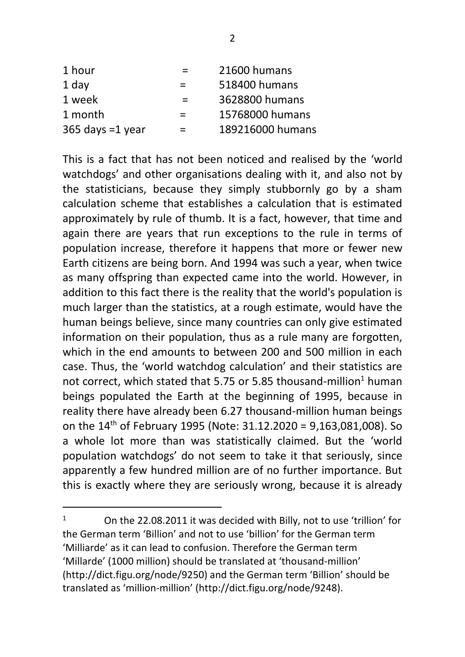| 1 hour             | $=$ | 21600 humans     |
|--------------------|-----|------------------|
| 1 day              | $=$ | 518400 humans    |
| 1 week             | $=$ | 3628800 humans   |
| 1 month            | $=$ | 15768000 humans  |
| 365 days $=1$ year | $=$ | 189216000 humans |

This is a fact that has not been noticed and realised by the 'world watchdogs' and other organisations dealing with it, and also not by the statisticians, because they simply stubbornly go by a sham calculation scheme that establishes a calculation that is estimated approximately by rule of thumb. It is a fact, however, that time and again there are years that run exceptions to the rule in terms of population increase, therefore it happens that more or fewer new Earth citizens are being born. And 1994 was such a year, when twice as many offspring than expected came into the world. However, in addition to this fact there is the reality that the world's population is much larger than the statistics, at a rough estimate, would have the human beings believe, since many countries can only give estimated information on their population, thus as a rule many are forgotten, which in the end amounts to between 200 and 500 million in each case. Thus, the 'world watchdog calculation' and their statistics are not correct, which stated that 5.75 or 5.85 thousand-million<sup>1</sup> human beings populated the Earth at the beginning of 1995, because in reality there have already been 6.27 thousand-million human beings on the 14th of February 1995 (Note: 31.12.2020 = 9,163,081,008). So a whole lot more than was statistically claimed. But the 'world population watchdogs' do not seem to take it that seriously, since apparently a few hundred million are of no further importance. But this is exactly where they are seriously wrong, because it is already

<sup>1</sup> On the 22.08.2011 it was decided with Billy, not to use 'trillion' for the German term 'Billion' and not to use 'billion' for the German term 'Milliarde' as it can lead to confusion. Therefore the German term 'Millarde' (1000 million) should be translated at 'thousand-million' (http://dict.figu.org/node/9250) and the German term 'Billion' should be translated as 'million-million' (http://dict.figu.org/node/9248).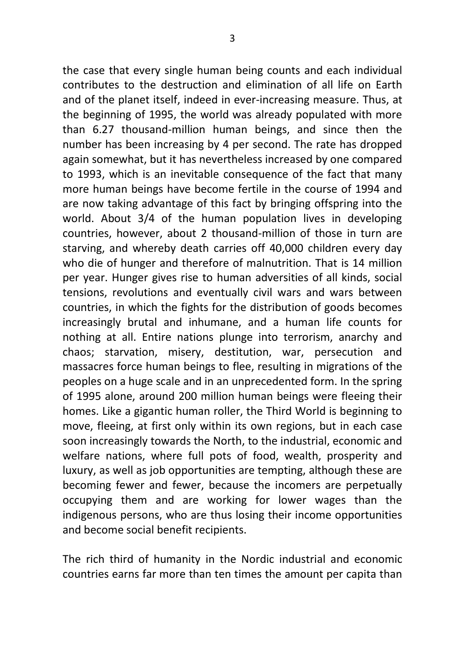the case that every single human being counts and each individual contributes to the destruction and elimination of all life on Earth and of the planet itself, indeed in ever-increasing measure. Thus, at the beginning of 1995, the world was already populated with more than 6.27 thousand-million human beings, and since then the number has been increasing by 4 per second. The rate has dropped again somewhat, but it has nevertheless increased by one compared to 1993, which is an inevitable consequence of the fact that many more human beings have become fertile in the course of 1994 and are now taking advantage of this fact by bringing offspring into the world. About 3/4 of the human population lives in developing countries, however, about 2 thousand-million of those in turn are starving, and whereby death carries off 40,000 children every day who die of hunger and therefore of malnutrition. That is 14 million per year. Hunger gives rise to human adversities of all kinds, social tensions, revolutions and eventually civil wars and wars between countries, in which the fights for the distribution of goods becomes increasingly brutal and inhumane, and a human life counts for nothing at all. Entire nations plunge into terrorism, anarchy and chaos; starvation, misery, destitution, war, persecution and massacres force human beings to flee, resulting in migrations of the peoples on a huge scale and in an unprecedented form. In the spring of 1995 alone, around 200 million human beings were fleeing their homes. Like a gigantic human roller, the Third World is beginning to move, fleeing, at first only within its own regions, but in each case soon increasingly towards the North, to the industrial, economic and welfare nations, where full pots of food, wealth, prosperity and luxury, as well as job opportunities are tempting, although these are becoming fewer and fewer, because the incomers are perpetually occupying them and are working for lower wages than the indigenous persons, who are thus losing their income opportunities and become social benefit recipients.

The rich third of humanity in the Nordic industrial and economic countries earns far more than ten times the amount per capita than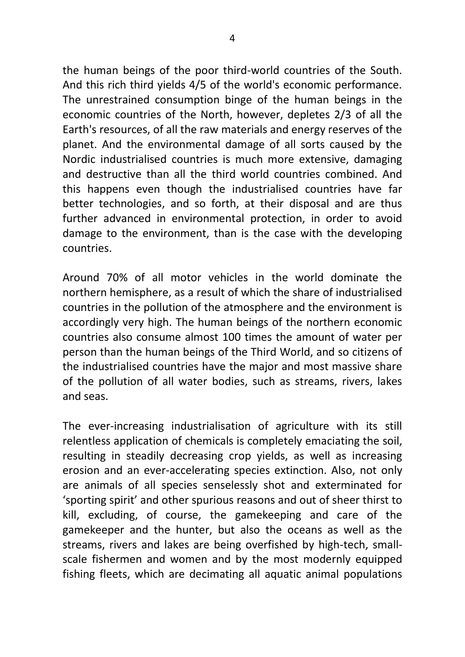the human beings of the poor third-world countries of the South. And this rich third yields 4/5 of the world's economic performance. The unrestrained consumption binge of the human beings in the economic countries of the North, however, depletes 2/3 of all the Earth's resources, of all the raw materials and energy reserves of the planet. And the environmental damage of all sorts caused by the Nordic industrialised countries is much more extensive, damaging and destructive than all the third world countries combined. And this happens even though the industrialised countries have far better technologies, and so forth, at their disposal and are thus further advanced in environmental protection, in order to avoid damage to the environment, than is the case with the developing countries.

Around 70% of all motor vehicles in the world dominate the northern hemisphere, as a result of which the share of industrialised countries in the pollution of the atmosphere and the environment is accordingly very high. The human beings of the northern economic countries also consume almost 100 times the amount of water per person than the human beings of the Third World, and so citizens of the industrialised countries have the major and most massive share of the pollution of all water bodies, such as streams, rivers, lakes and seas.

The ever-increasing industrialisation of agriculture with its still relentless application of chemicals is completely emaciating the soil, resulting in steadily decreasing crop yields, as well as increasing erosion and an ever-accelerating species extinction. Also, not only are animals of all species senselessly shot and exterminated for 'sporting spirit' and other spurious reasons and out of sheer thirst to kill, excluding, of course, the gamekeeping and care of the gamekeeper and the hunter, but also the oceans as well as the streams, rivers and lakes are being overfished by high-tech, smallscale fishermen and women and by the most modernly equipped fishing fleets, which are decimating all aquatic animal populations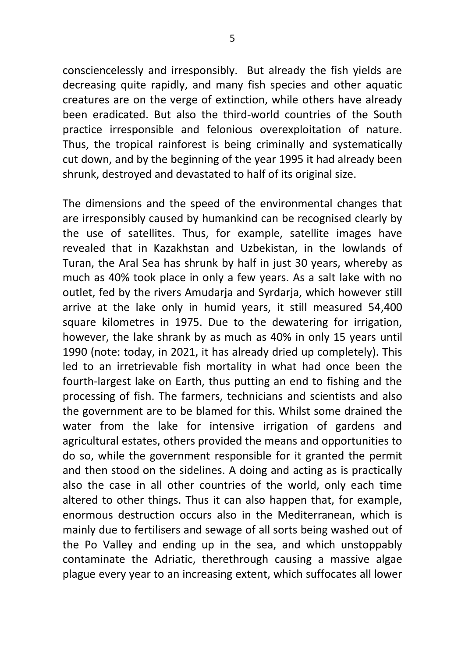consciencelessly and irresponsibly. But already the fish yields are decreasing quite rapidly, and many fish species and other aquatic creatures are on the verge of extinction, while others have already been eradicated. But also the third-world countries of the South practice irresponsible and felonious overexploitation of nature. Thus, the tropical rainforest is being criminally and systematically cut down, and by the beginning of the year 1995 it had already been shrunk, destroyed and devastated to half of its original size.

The dimensions and the speed of the environmental changes that are irresponsibly caused by humankind can be recognised clearly by the use of satellites. Thus, for example, satellite images have revealed that in Kazakhstan and Uzbekistan, in the lowlands of Turan, the Aral Sea has shrunk by half in just 30 years, whereby as much as 40% took place in only a few years. As a salt lake with no outlet, fed by the rivers Amudaria and Syrdaria, which however still arrive at the lake only in humid years, it still measured 54,400 square kilometres in 1975. Due to the dewatering for irrigation, however, the lake shrank by as much as 40% in only 15 years until 1990 (note: today, in 2021, it has already dried up completely). This led to an irretrievable fish mortality in what had once been the fourth-largest lake on Earth, thus putting an end to fishing and the processing of fish. The farmers, technicians and scientists and also the government are to be blamed for this. Whilst some drained the water from the lake for intensive irrigation of gardens and agricultural estates, others provided the means and opportunities to do so, while the government responsible for it granted the permit and then stood on the sidelines. A doing and acting as is practically also the case in all other countries of the world, only each time altered to other things. Thus it can also happen that, for example, enormous destruction occurs also in the Mediterranean, which is mainly due to fertilisers and sewage of all sorts being washed out of the Po Valley and ending up in the sea, and which unstoppably contaminate the Adriatic, therethrough causing a massive algae plague every year to an increasing extent, which suffocates all lower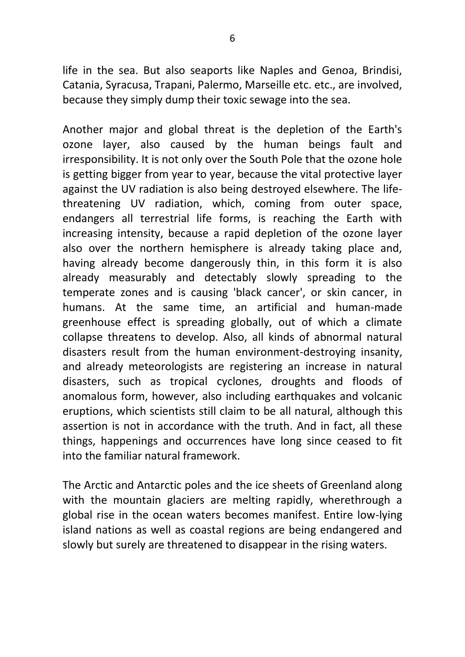life in the sea. But also seaports like Naples and Genoa, Brindisi, Catania, Syracusa, Trapani, Palermo, Marseille etc. etc., are involved, because they simply dump their toxic sewage into the sea.

Another major and global threat is the depletion of the Earth's ozone layer, also caused by the human beings fault and irresponsibility. It is not only over the South Pole that the ozone hole is getting bigger from year to year, because the vital protective layer against the UV radiation is also being destroyed elsewhere. The lifethreatening UV radiation, which, coming from outer space, endangers all terrestrial life forms, is reaching the Earth with increasing intensity, because a rapid depletion of the ozone layer also over the northern hemisphere is already taking place and, having already become dangerously thin, in this form it is also already measurably and detectably slowly spreading to the temperate zones and is causing 'black cancer', or skin cancer, in humans. At the same time, an artificial and human-made greenhouse effect is spreading globally, out of which a climate collapse threatens to develop. Also, all kinds of abnormal natural disasters result from the human environment-destroying insanity, and already meteorologists are registering an increase in natural disasters, such as tropical cyclones, droughts and floods of anomalous form, however, also including earthquakes and volcanic eruptions, which scientists still claim to be all natural, although this assertion is not in accordance with the truth. And in fact, all these things, happenings and occurrences have long since ceased to fit into the familiar natural framework.

The Arctic and Antarctic poles and the ice sheets of Greenland along with the mountain glaciers are melting rapidly, wherethrough a global rise in the ocean waters becomes manifest. Entire low-lying island nations as well as coastal regions are being endangered and slowly but surely are threatened to disappear in the rising waters.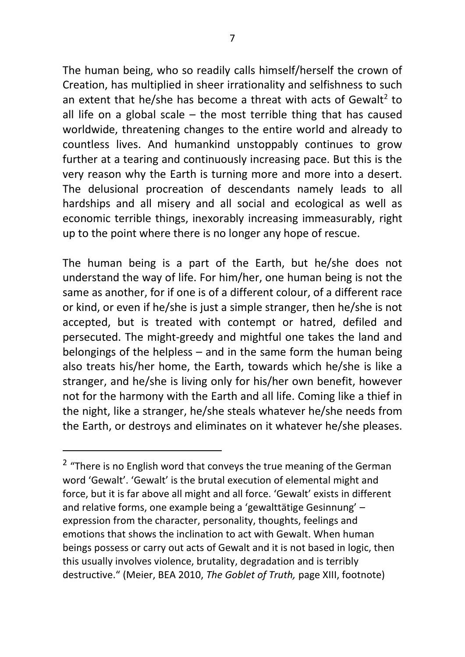The human being, who so readily calls himself/herself the crown of Creation, has multiplied in sheer irrationality and selfishness to such an extent that he/she has become a threat with acts of Gewalt<sup>2</sup> to all life on a global scale – the most terrible thing that has caused worldwide, threatening changes to the entire world and already to countless lives. And humankind unstoppably continues to grow further at a tearing and continuously increasing pace. But this is the very reason why the Earth is turning more and more into a desert. The delusional procreation of descendants namely leads to all hardships and all misery and all social and ecological as well as economic terrible things, inexorably increasing immeasurably, right up to the point where there is no longer any hope of rescue.

The human being is a part of the Earth, but he/she does not understand the way of life. For him/her, one human being is not the same as another, for if one is of a different colour, of a different race or kind, or even if he/she is just a simple stranger, then he/she is not accepted, but is treated with contempt or hatred, defiled and persecuted. The might-greedy and mightful one takes the land and belongings of the helpless – and in the same form the human being also treats his/her home, the Earth, towards which he/she is like a stranger, and he/she is living only for his/her own benefit, however not for the harmony with the Earth and all life. Coming like a thief in the night, like a stranger, he/she steals whatever he/she needs from the Earth, or destroys and eliminates on it whatever he/she pleases.

 $2$  "There is no English word that conveys the true meaning of the German word 'Gewalt'. 'Gewalt' is the brutal execution of elemental might and force, but it is far above all might and all force. 'Gewalt' exists in different and relative forms, one example being a 'gewalttätige Gesinnung' – expression from the character, personality, thoughts, feelings and emotions that shows the inclination to act with Gewalt. When human beings possess or carry out acts of Gewalt and it is not based in logic, then this usually involves violence, brutality, degradation and is terribly destructive." (Meier, BEA 2010, *The Goblet of Truth,* page XIII, footnote)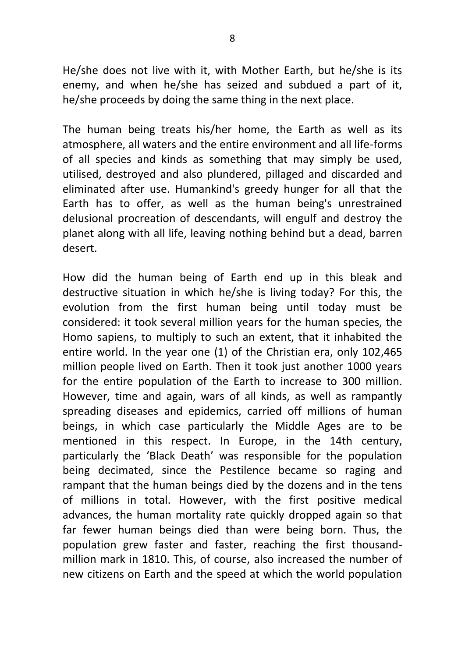He/she does not live with it, with Mother Earth, but he/she is its enemy, and when he/she has seized and subdued a part of it, he/she proceeds by doing the same thing in the next place.

The human being treats his/her home, the Earth as well as its atmosphere, all waters and the entire environment and all life-forms of all species and kinds as something that may simply be used, utilised, destroyed and also plundered, pillaged and discarded and eliminated after use. Humankind's greedy hunger for all that the Earth has to offer, as well as the human being's unrestrained delusional procreation of descendants, will engulf and destroy the planet along with all life, leaving nothing behind but a dead, barren desert.

How did the human being of Earth end up in this bleak and destructive situation in which he/she is living today? For this, the evolution from the first human being until today must be considered: it took several million years for the human species, the Homo sapiens, to multiply to such an extent, that it inhabited the entire world. In the year one (1) of the Christian era, only 102,465 million people lived on Earth. Then it took just another 1000 years for the entire population of the Earth to increase to 300 million. However, time and again, wars of all kinds, as well as rampantly spreading diseases and epidemics, carried off millions of human beings, in which case particularly the Middle Ages are to be mentioned in this respect. In Europe, in the 14th century, particularly the 'Black Death' was responsible for the population being decimated, since the Pestilence became so raging and rampant that the human beings died by the dozens and in the tens of millions in total. However, with the first positive medical advances, the human mortality rate quickly dropped again so that far fewer human beings died than were being born. Thus, the population grew faster and faster, reaching the first thousandmillion mark in 1810. This, of course, also increased the number of new citizens on Earth and the speed at which the world population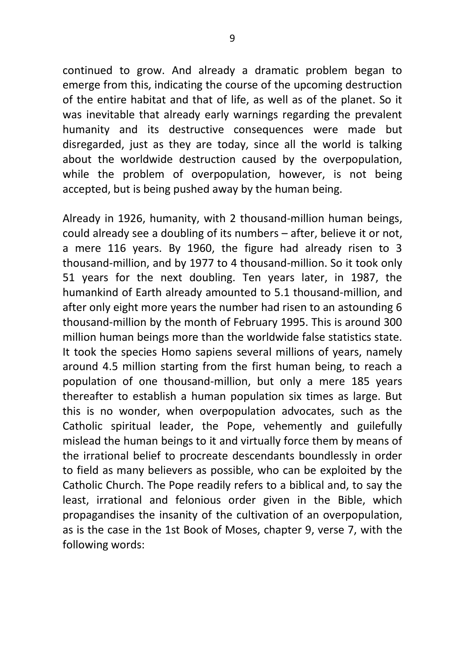continued to grow. And already a dramatic problem began to emerge from this, indicating the course of the upcoming destruction of the entire habitat and that of life, as well as of the planet. So it was inevitable that already early warnings regarding the prevalent humanity and its destructive consequences were made but disregarded, just as they are today, since all the world is talking about the worldwide destruction caused by the overpopulation, while the problem of overpopulation, however, is not being accepted, but is being pushed away by the human being.

Already in 1926, humanity, with 2 thousand-million human beings, could already see a doubling of its numbers – after, believe it or not, a mere 116 years. By 1960, the figure had already risen to 3 thousand-million, and by 1977 to 4 thousand-million. So it took only 51 years for the next doubling. Ten years later, in 1987, the humankind of Earth already amounted to 5.1 thousand-million, and after only eight more years the number had risen to an astounding 6 thousand-million by the month of February 1995. This is around 300 million human beings more than the worldwide false statistics state. It took the species Homo sapiens several millions of years, namely around 4.5 million starting from the first human being, to reach a population of one thousand-million, but only a mere 185 years thereafter to establish a human population six times as large. But this is no wonder, when overpopulation advocates, such as the Catholic spiritual leader, the Pope, vehemently and guilefully mislead the human beings to it and virtually force them by means of the irrational belief to procreate descendants boundlessly in order to field as many believers as possible, who can be exploited by the Catholic Church. The Pope readily refers to a biblical and, to say the least, irrational and felonious order given in the Bible, which propagandises the insanity of the cultivation of an overpopulation, as is the case in the 1st Book of Moses, chapter 9, verse 7, with the following words: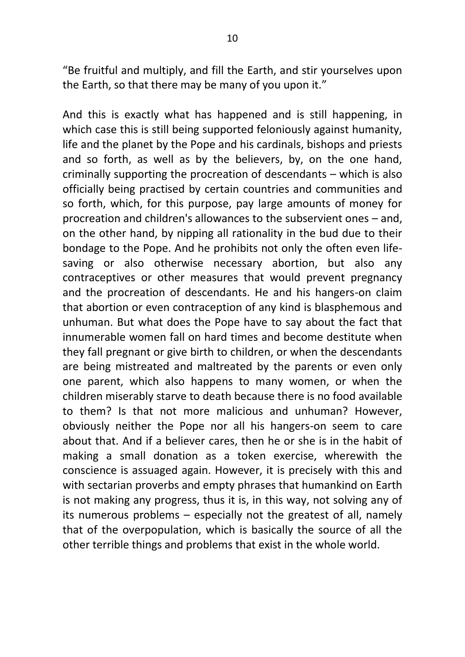"Be fruitful and multiply, and fill the Earth, and stir yourselves upon the Earth, so that there may be many of you upon it."

And this is exactly what has happened and is still happening, in which case this is still being supported feloniously against humanity, life and the planet by the Pope and his cardinals, bishops and priests and so forth, as well as by the believers, by, on the one hand, criminally supporting the procreation of descendants – which is also officially being practised by certain countries and communities and so forth, which, for this purpose, pay large amounts of money for procreation and children's allowances to the subservient ones – and, on the other hand, by nipping all rationality in the bud due to their bondage to the Pope. And he prohibits not only the often even lifesaving or also otherwise necessary abortion, but also any contraceptives or other measures that would prevent pregnancy and the procreation of descendants. He and his hangers-on claim that abortion or even contraception of any kind is blasphemous and unhuman. But what does the Pope have to say about the fact that innumerable women fall on hard times and become destitute when they fall pregnant or give birth to children, or when the descendants are being mistreated and maltreated by the parents or even only one parent, which also happens to many women, or when the children miserably starve to death because there is no food available to them? Is that not more malicious and unhuman? However, obviously neither the Pope nor all his hangers-on seem to care about that. And if a believer cares, then he or she is in the habit of making a small donation as a token exercise, wherewith the conscience is assuaged again. However, it is precisely with this and with sectarian proverbs and empty phrases that humankind on Earth is not making any progress, thus it is, in this way, not solving any of its numerous problems – especially not the greatest of all, namely that of the overpopulation, which is basically the source of all the other terrible things and problems that exist in the whole world.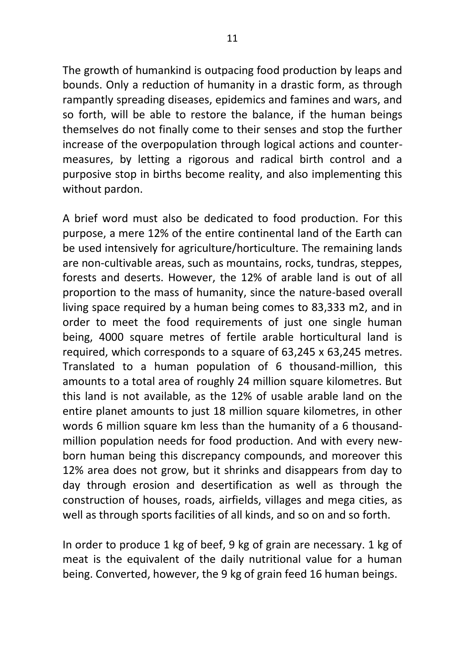The growth of humankind is outpacing food production by leaps and bounds. Only a reduction of humanity in a drastic form, as through rampantly spreading diseases, epidemics and famines and wars, and so forth, will be able to restore the balance, if the human beings themselves do not finally come to their senses and stop the further increase of the overpopulation through logical actions and countermeasures, by letting a rigorous and radical birth control and a purposive stop in births become reality, and also implementing this without pardon.

A brief word must also be dedicated to food production. For this purpose, a mere 12% of the entire continental land of the Earth can be used intensively for agriculture/horticulture. The remaining lands are non-cultivable areas, such as mountains, rocks, tundras, steppes, forests and deserts. However, the 12% of arable land is out of all proportion to the mass of humanity, since the nature-based overall living space required by a human being comes to 83,333 m2, and in order to meet the food requirements of just one single human being, 4000 square metres of fertile arable horticultural land is required, which corresponds to a square of 63,245 x 63,245 metres. Translated to a human population of 6 thousand-million, this amounts to a total area of roughly 24 million square kilometres. But this land is not available, as the 12% of usable arable land on the entire planet amounts to just 18 million square kilometres, in other words 6 million square km less than the humanity of a 6 thousandmillion population needs for food production. And with every newborn human being this discrepancy compounds, and moreover this 12% area does not grow, but it shrinks and disappears from day to day through erosion and desertification as well as through the construction of houses, roads, airfields, villages and mega cities, as well as through sports facilities of all kinds, and so on and so forth.

In order to produce 1 kg of beef, 9 kg of grain are necessary. 1 kg of meat is the equivalent of the daily nutritional value for a human being. Converted, however, the 9 kg of grain feed 16 human beings.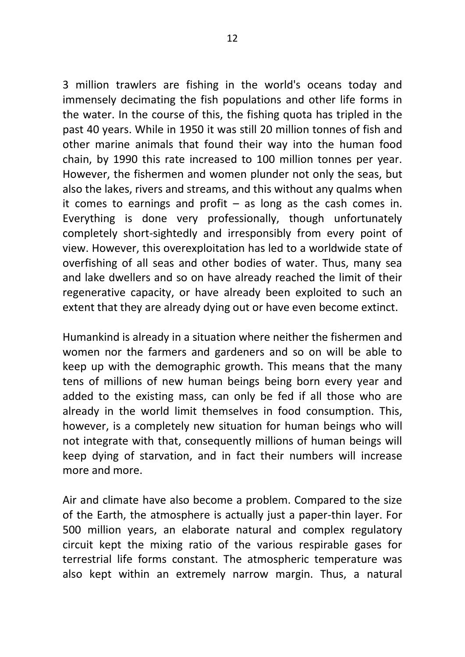3 million trawlers are fishing in the world's oceans today and immensely decimating the fish populations and other life forms in the water. In the course of this, the fishing quota has tripled in the past 40 years. While in 1950 it was still 20 million tonnes of fish and other marine animals that found their way into the human food chain, by 1990 this rate increased to 100 million tonnes per year. However, the fishermen and women plunder not only the seas, but also the lakes, rivers and streams, and this without any qualms when it comes to earnings and profit  $-$  as long as the cash comes in. Everything is done very professionally, though unfortunately completely short-sightedly and irresponsibly from every point of view. However, this overexploitation has led to a worldwide state of overfishing of all seas and other bodies of water. Thus, many sea and lake dwellers and so on have already reached the limit of their regenerative capacity, or have already been exploited to such an extent that they are already dying out or have even become extinct.

Humankind is already in a situation where neither the fishermen and women nor the farmers and gardeners and so on will be able to keep up with the demographic growth. This means that the many tens of millions of new human beings being born every year and added to the existing mass, can only be fed if all those who are already in the world limit themselves in food consumption. This, however, is a completely new situation for human beings who will not integrate with that, consequently millions of human beings will keep dying of starvation, and in fact their numbers will increase more and more.

Air and climate have also become a problem. Compared to the size of the Earth, the atmosphere is actually just a paper-thin layer. For 500 million years, an elaborate natural and complex regulatory circuit kept the mixing ratio of the various respirable gases for terrestrial life forms constant. The atmospheric temperature was also kept within an extremely narrow margin. Thus, a natural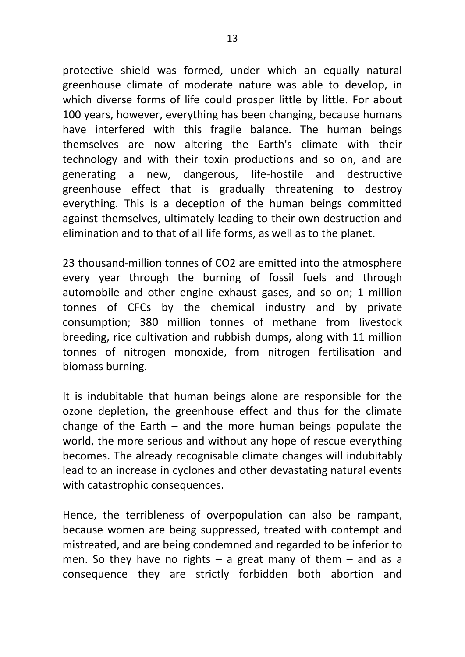protective shield was formed, under which an equally natural greenhouse climate of moderate nature was able to develop, in which diverse forms of life could prosper little by little. For about 100 years, however, everything has been changing, because humans have interfered with this fragile balance. The human beings themselves are now altering the Earth's climate with their technology and with their toxin productions and so on, and are generating a new, dangerous, life-hostile and destructive greenhouse effect that is gradually threatening to destroy everything. This is a deception of the human beings committed against themselves, ultimately leading to their own destruction and elimination and to that of all life forms, as well as to the planet.

23 thousand-million tonnes of CO2 are emitted into the atmosphere every year through the burning of fossil fuels and through automobile and other engine exhaust gases, and so on; 1 million tonnes of CFCs by the chemical industry and by private consumption; 380 million tonnes of methane from livestock breeding, rice cultivation and rubbish dumps, along with 11 million tonnes of nitrogen monoxide, from nitrogen fertilisation and biomass burning.

It is indubitable that human beings alone are responsible for the ozone depletion, the greenhouse effect and thus for the climate change of the Earth – and the more human beings populate the world, the more serious and without any hope of rescue everything becomes. The already recognisable climate changes will indubitably lead to an increase in cyclones and other devastating natural events with catastrophic consequences.

Hence, the terribleness of overpopulation can also be rampant, because women are being suppressed, treated with contempt and mistreated, and are being condemned and regarded to be inferior to men. So they have no rights  $-$  a great many of them  $-$  and as a consequence they are strictly forbidden both abortion and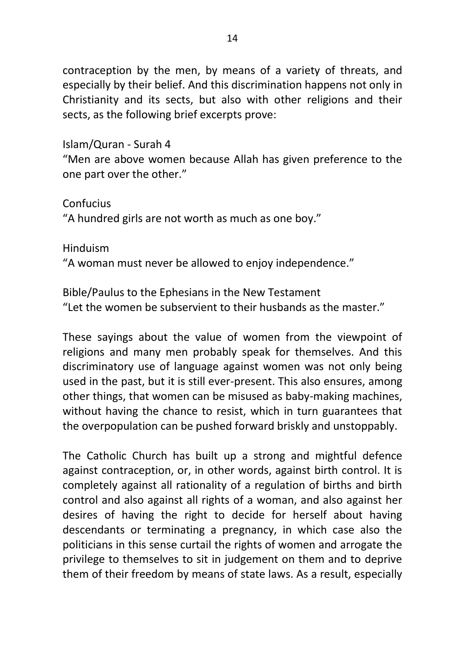contraception by the men, by means of a variety of threats, and especially by their belief. And this discrimination happens not only in Christianity and its sects, but also with other religions and their sects, as the following brief excerpts prove:

Islam/Quran - Surah 4

"Men are above women because Allah has given preference to the one part over the other."

Confucius

"A hundred girls are not worth as much as one boy."

Hinduism

"A woman must never be allowed to enjoy independence."

Bible/Paulus to the Ephesians in the New Testament "Let the women be subservient to their husbands as the master."

These sayings about the value of women from the viewpoint of religions and many men probably speak for themselves. And this discriminatory use of language against women was not only being used in the past, but it is still ever-present. This also ensures, among other things, that women can be misused as baby-making machines, without having the chance to resist, which in turn guarantees that the overpopulation can be pushed forward briskly and unstoppably.

The Catholic Church has built up a strong and mightful defence against contraception, or, in other words, against birth control. It is completely against all rationality of a regulation of births and birth control and also against all rights of a woman, and also against her desires of having the right to decide for herself about having descendants or terminating a pregnancy, in which case also the politicians in this sense curtail the rights of women and arrogate the privilege to themselves to sit in judgement on them and to deprive them of their freedom by means of state laws. As a result, especially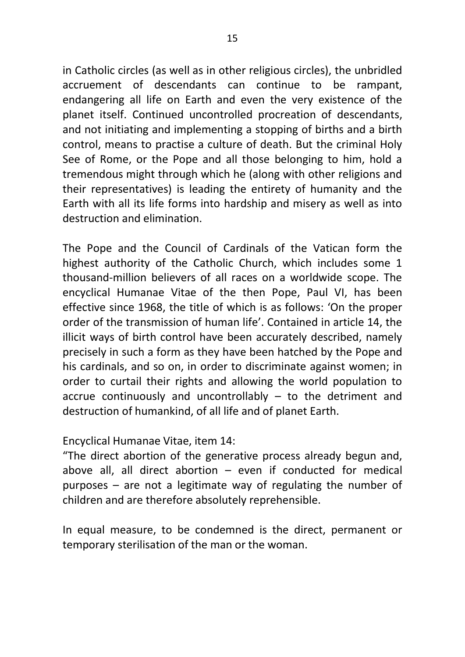in Catholic circles (as well as in other religious circles), the unbridled accruement of descendants can continue to be rampant, endangering all life on Earth and even the very existence of the planet itself. Continued uncontrolled procreation of descendants, and not initiating and implementing a stopping of births and a birth control, means to practise a culture of death. But the criminal Holy See of Rome, or the Pope and all those belonging to him, hold a tremendous might through which he (along with other religions and their representatives) is leading the entirety of humanity and the Earth with all its life forms into hardship and misery as well as into destruction and elimination.

The Pope and the Council of Cardinals of the Vatican form the highest authority of the Catholic Church, which includes some 1 thousand-million believers of all races on a worldwide scope. The encyclical Humanae Vitae of the then Pope, Paul VI, has been effective since 1968, the title of which is as follows: 'On the proper order of the transmission of human life'. Contained in article 14, the illicit ways of birth control have been accurately described, namely precisely in such a form as they have been hatched by the Pope and his cardinals, and so on, in order to discriminate against women; in order to curtail their rights and allowing the world population to accrue continuously and uncontrollably – to the detriment and destruction of humankind, of all life and of planet Earth.

Encyclical Humanae Vitae, item 14:

"The direct abortion of the generative process already begun and, above all, all direct abortion – even if conducted for medical purposes – are not a legitimate way of regulating the number of children and are therefore absolutely reprehensible.

In equal measure, to be condemned is the direct, permanent or temporary sterilisation of the man or the woman.